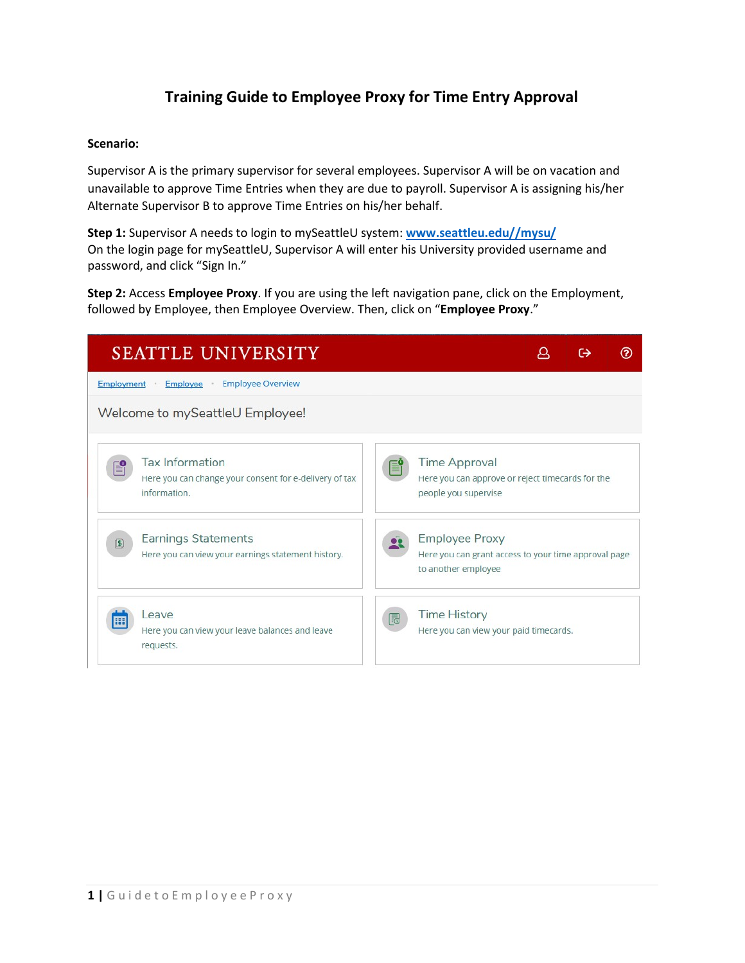## **Training Guide to Employee Proxy for Time Entry Approval**

### **Scenario:**

Supervisor A is the primary supervisor for several employees. Supervisor A will be on vacation and unavailable to approve Time Entries when they are due to payroll. Supervisor A is assigning his/her Alternate Supervisor B to approve Time Entries on his/her behalf.

**Step 1:** Supervisor A needs to login to mySeattleU system: **[www.seattleu.edu//mysu/](http://www.seattleu.edu/mysu/)** On the login page for mySeattleU, Supervisor A will enter his University provided username and password, and click "Sign In."

**Step 2:** Access **Employee Proxy**. If you are using the left navigation pane, click on the Employment, followed by Employee, then Employee Overview. Then, click on "**Employee Proxy**."

|                   | <b>SEATTLE UNIVERSITY</b>                                                                        |    |                                                                                                      |  |  |
|-------------------|--------------------------------------------------------------------------------------------------|----|------------------------------------------------------------------------------------------------------|--|--|
| <b>Employment</b> | <b>Employee Overview</b><br>Employee                                                             |    |                                                                                                      |  |  |
|                   | Welcome to mySeattleU Employee!                                                                  |    |                                                                                                      |  |  |
|                   | <b>Tax Information</b><br>Here you can change your consent for e-delivery of tax<br>information. |    | <b>Time Approval</b><br>Here you can approve or reject timecards for the<br>people you supervise     |  |  |
| 圓                 | Earnings Statements<br>Here you can view your earnings statement history.                        |    | <b>Employee Proxy</b><br>Here you can grant access to your time approval page<br>to another employee |  |  |
|                   | Leave<br>Here you can view your leave balances and leave<br>requests.                            | lā | <b>Time History</b><br>Here you can view your paid timecards.                                        |  |  |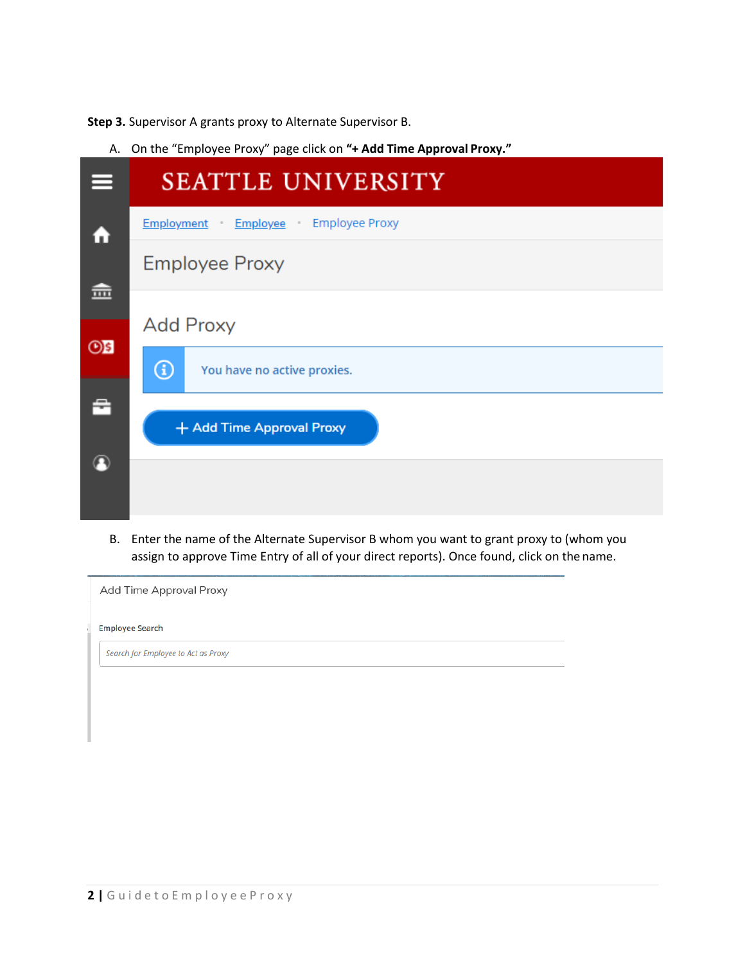**Step 3.** Supervisor A grants proxy to Alternate Supervisor B.

A. On the "Employee Proxy" page click on **"+ Add Time Approval Proxy."**

| ᆖ              | <b>SEATTLE UNIVERSITY</b>                      |
|----------------|------------------------------------------------|
| A              | <b>Employee Proxy</b><br>Employment Employee . |
| 壸              | <b>Employee Proxy</b>                          |
|                | <b>Add Proxy</b>                               |
| O <sub>S</sub> | $\circled{f}$<br>You have no active proxies.   |
| 춥              | + Add Time Approval Proxy                      |
|                |                                                |

B. Enter the name of the Alternate Supervisor B whom you want to grant proxy to (whom you assign to approve Time Entry of all of your direct reports). Once found, click on the name.

| Add Time Approval Proxy             |  |  |
|-------------------------------------|--|--|
| <b>Employee Search</b>              |  |  |
| Search for Employee to Act as Proxy |  |  |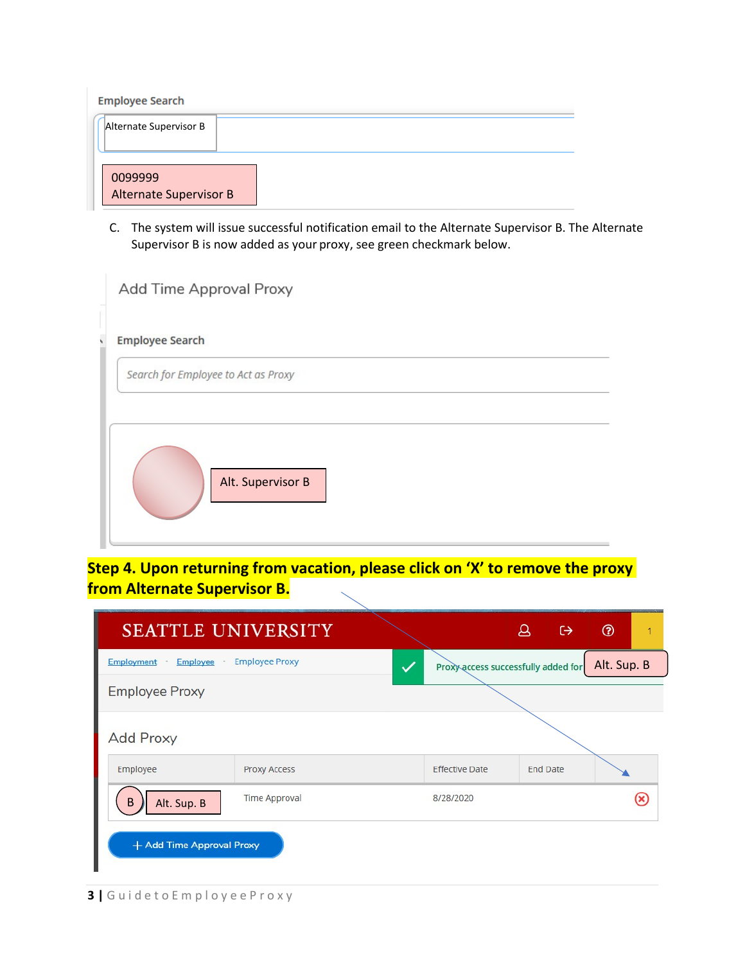| <b>Employee Search</b>        |  |
|-------------------------------|--|
| Alternate Supervisor B        |  |
|                               |  |
|                               |  |
| 0099999                       |  |
| <b>Alternate Supervisor B</b> |  |

C. The system will issue successful notification email to the Alternate Supervisor B. The Alternate Supervisor B is now added as your proxy, see green checkmark below.

| Add Time Approval Proxy             |
|-------------------------------------|
| <b>Employee Search</b>              |
| Search for Employee to Act as Proxy |
|                                     |
| Alt. Supervisor B                   |
|                                     |

**Step 4. Upon returning from vacation, please click on 'X' to remove the proxy from Alternate Supervisor B.**

| <b>SEATTLE UNIVERSITY</b>          |                       |                                     | 8 | $\leftrightarrow$ | $^{\circledR}$ | 1 |
|------------------------------------|-----------------------|-------------------------------------|---|-------------------|----------------|---|
| Employment<br>Employee .<br>$\sim$ | <b>Employee Proxy</b> | Proxy access successfully added for |   |                   | Alt. Sup. B    |   |
| <b>Employee Proxy</b>              |                       |                                     |   |                   |                |   |
| <b>Add Proxy</b>                   |                       |                                     |   |                   |                |   |
| Employee                           | Proxy Access          | <b>Effective Date</b>               |   | <b>End Date</b>   |                |   |
| B<br>Alt. Sup. B                   | <b>Time Approval</b>  | 8/28/2020                           |   |                   |                |   |
| + Add Time Approval Proxy          |                       |                                     |   |                   |                |   |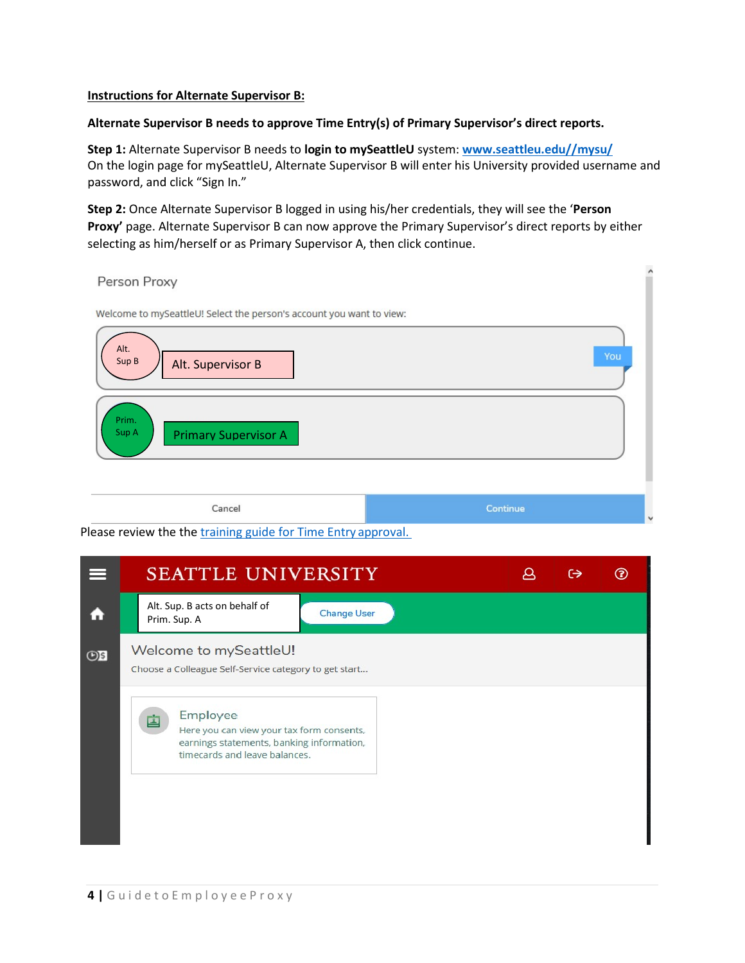#### **Instructions for Alternate Supervisor B:**

#### **Alternate Supervisor B needs to approve Time Entry(s) of Primary Supervisor's direct reports.**

**Step 1:** Alternate Supervisor B needs to **login to mySeattleU** system: **[www.seattleu.edu//mysu/](http://www.seattleu.edu/mysu/)** On the login page for mySeattleU, Alternate Supervisor B will enter his University provided username and password, and click "Sign In."

**Step 2:** Once Alternate Supervisor B logged in using his/her credentials, they will see the '**Person Proxy'** page. Alternate Supervisor B can now approve the Primary Supervisor's direct reports by either selecting as him/herself or as Primary Supervisor A, then click continue.

| Person Proxy                                                                                               | ۸                        |
|------------------------------------------------------------------------------------------------------------|--------------------------|
| Welcome to mySeattleU! Select the person's account you want to view:<br>Alt.<br>Sup B<br>Alt. Supervisor B | You                      |
| Prim.<br>Sup A<br><b>Primary Supervisor A</b>                                                              |                          |
| Cancel                                                                                                     | Continue<br>$\checkmark$ |

Please review the th[e training guide for Time Entry](https://www.seattleu.edu/media/payroll/Training-for-mySeattleU-Time-Entry-Overview-for-NE-Employees.pdf) approval.

|                | SEATTLE UNIVERSITY                                                                                                                  | ⊖ |  |
|----------------|-------------------------------------------------------------------------------------------------------------------------------------|---|--|
| Ω              | Alt. Sup. B acts on behalf of<br><b>Change User</b><br>Prim. Sup. A                                                                 |   |  |
| O <sub>5</sub> | Welcome to mySeattleU!<br>Choose a Colleague Self-Service category to get start                                                     |   |  |
|                | Employee<br>Here you can view your tax form consents,<br>earnings statements, banking information,<br>timecards and leave balances. |   |  |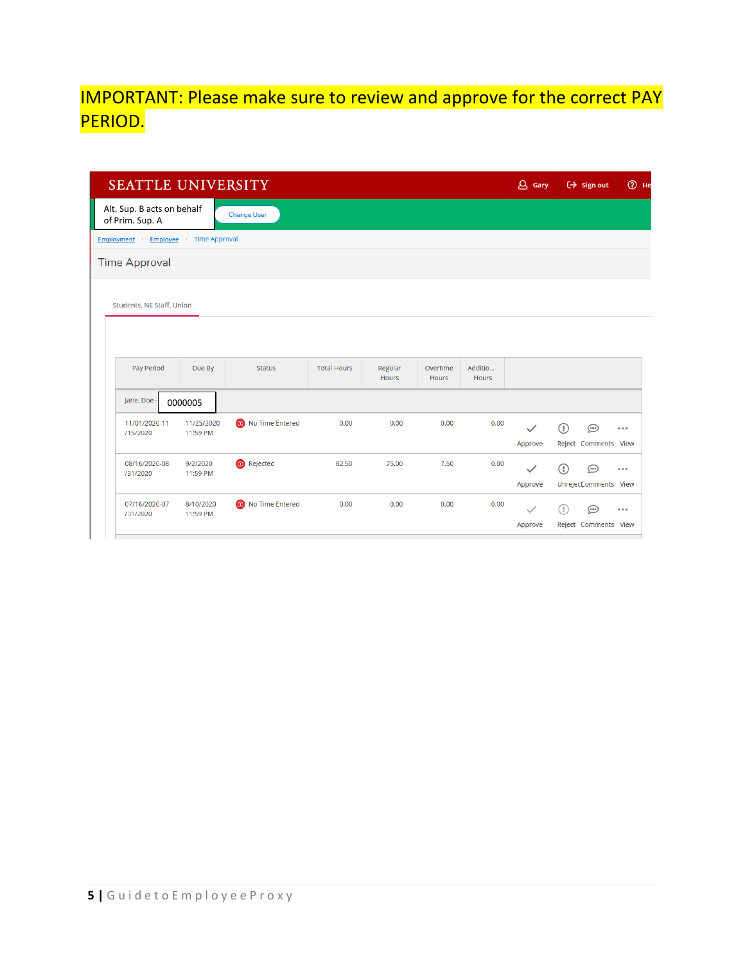# IMPORTANT: Please make sure to review and approve for the correct PAY PERIOD.

| SEATTLE UNIVERSITY                             |                               |                          |                    |                         |                          |                         | $\Delta$ Gary |   | $\Theta$ Sign out               | $③$ He |
|------------------------------------------------|-------------------------------|--------------------------|--------------------|-------------------------|--------------------------|-------------------------|---------------|---|---------------------------------|--------|
| Alt. Sup. B acts on behalf<br>of Prim. Sup. A  |                               | <b>Change User</b>       |                    |                         |                          |                         |               |   |                                 |        |
| <b>Employment</b>                              | <b>Employee</b> Time Approval |                          |                    |                         |                          |                         |               |   |                                 |        |
| <b>Time Approval</b>                           |                               |                          |                    |                         |                          |                         |               |   |                                 |        |
| <b>Students, NE Staff, Union</b><br>Pay Period | Due By                        | <b>Status</b>            | <b>Total Hours</b> | Regular<br><b>Hours</b> | Overtime<br><b>Hours</b> | Additio<br><b>Hours</b> |               |   |                                 |        |
| Jane, Doe -                                    | 0000005                       |                          |                    |                         |                          |                         |               |   |                                 |        |
| 11/01/2020-11<br>/15/2020                      | 11/25/2020<br>11:59 PM        | <b>O</b> No Time Entered | 0.00               | 0.00                    | 0.00                     | 0.00                    | Approve       | ⊕ | $\odot$<br>Reject Comments View | 0.0.0  |
| 08/16/2020-08<br>/31/2020                      | 9/2/2020<br>11:59 PM          | <b>O</b> Rejected        | 82.50              | 75.00                   | 7.50                     | 0.00                    | $\checkmark$  | 0 | $\odot$                         |        |
|                                                |                               |                          |                    |                         |                          |                         | Approve       |   | UnrejectComments View           | 0.0.0  |